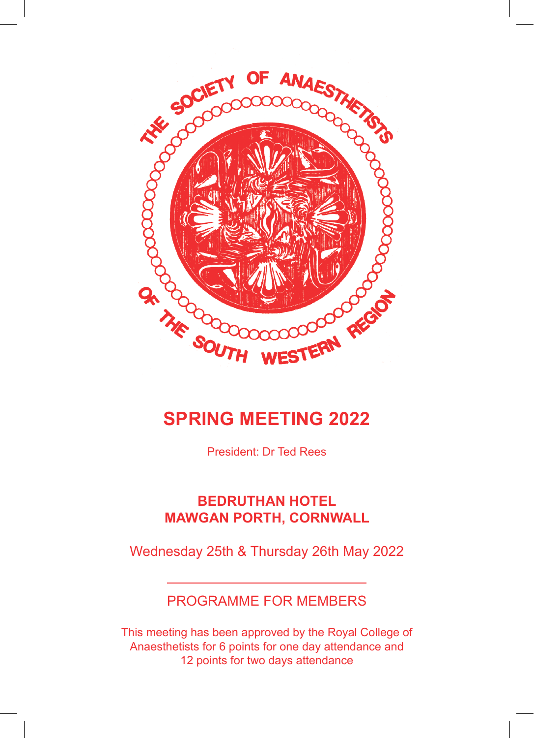

# **SPRING MEETING 2022**

President: Dr Ted Rees

## **BEDRUTHAN HOTEL MAWGAN PORTH, CORNWALL**

Wednesday 25th & Thursday 26th May 2022

# PROGRAMME FOR MEMBERS

This meeting has been approved by the Royal College of Anaesthetists for 6 points for one day attendance and 12 points for two days attendance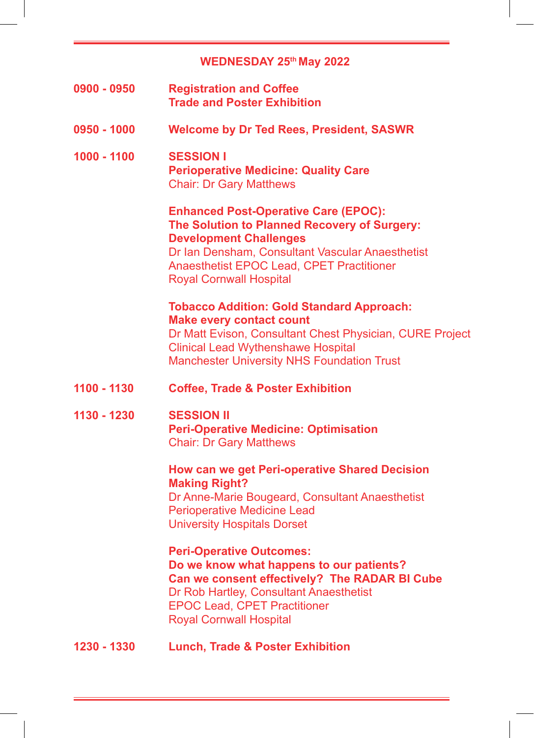# **WEDNESDAY 25th May 2022**

| 0900 - 0950 | <b>Registration and Coffee</b><br><b>Trade and Poster Exhibition</b>                                                                                                                                                                                            |
|-------------|-----------------------------------------------------------------------------------------------------------------------------------------------------------------------------------------------------------------------------------------------------------------|
| 0950 - 1000 | <b>Welcome by Dr Ted Rees, President, SASWR</b>                                                                                                                                                                                                                 |
| 1000 - 1100 | <b>SESSION I</b><br><b>Perioperative Medicine: Quality Care</b><br><b>Chair: Dr Gary Matthews</b>                                                                                                                                                               |
|             | <b>Enhanced Post-Operative Care (EPOC):</b><br>The Solution to Planned Recovery of Surgery:<br><b>Development Challenges</b><br>Dr Ian Densham, Consultant Vascular Anaesthetist<br>Anaesthetist EPOC Lead, CPET Practitioner<br><b>Royal Cornwall Hospital</b> |
|             | <b>Tobacco Addition: Gold Standard Approach:</b><br><b>Make every contact count</b><br>Dr Matt Evison, Consultant Chest Physician, CURE Project<br><b>Clinical Lead Wythenshawe Hospital</b><br><b>Manchester University NHS Foundation Trust</b>               |
| 1100 - 1130 | <b>Coffee, Trade &amp; Poster Exhibition</b>                                                                                                                                                                                                                    |
| 1130 - 1230 | <b>SESSION II</b><br><b>Peri-Operative Medicine: Optimisation</b><br><b>Chair: Dr Gary Matthews</b>                                                                                                                                                             |
|             | How can we get Peri-operative Shared Decision<br><b>Making Right?</b><br>Dr Anne-Marie Bougeard, Consultant Anaesthetist<br><b>Perioperative Medicine Lead</b><br><b>University Hospitals Dorset</b>                                                            |
|             | <b>Peri-Operative Outcomes:</b><br>Do we know what happens to our patients?<br>Can we consent effectively? The RADAR BI Cube<br>Dr Rob Hartley, Consultant Anaesthetist<br><b>EPOC Lead, CPET Practitioner</b><br><b>Royal Cornwall Hospital</b>                |
| 1230 - 1330 | <b>Lunch, Trade &amp; Poster Exhibition</b>                                                                                                                                                                                                                     |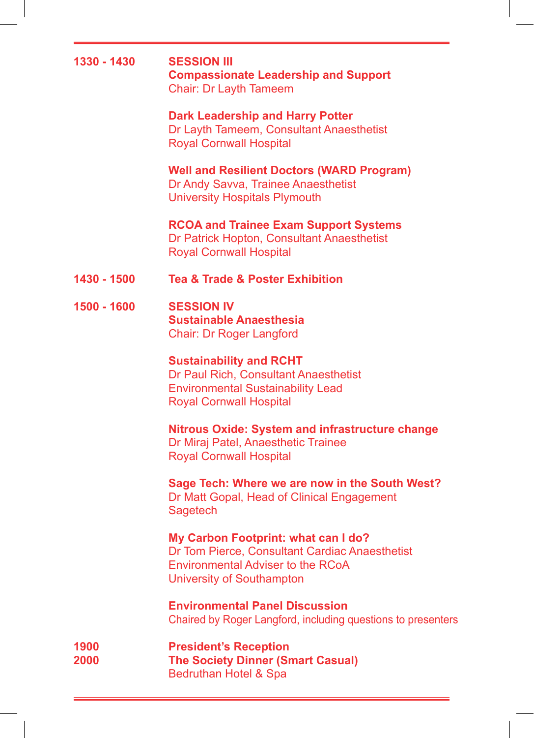|              | <b>Compassionate Leadership and Support</b><br>Chair: Dr Layth Tameem                                                                                          |
|--------------|----------------------------------------------------------------------------------------------------------------------------------------------------------------|
|              | <b>Dark Leadership and Harry Potter</b><br>Dr Layth Tameem, Consultant Anaesthetist<br><b>Royal Cornwall Hospital</b>                                          |
|              | <b>Well and Resilient Doctors (WARD Program)</b><br>Dr Andy Savva, Trainee Anaesthetist<br><b>University Hospitals Plymouth</b>                                |
|              | <b>RCOA and Trainee Exam Support Systems</b><br>Dr Patrick Hopton, Consultant Anaesthetist<br><b>Royal Cornwall Hospital</b>                                   |
| 1430 - 1500  | <b>Tea &amp; Trade &amp; Poster Exhibition</b>                                                                                                                 |
| 1500 - 1600  | <b>SESSION IV</b><br><b>Sustainable Anaesthesia</b><br><b>Chair: Dr Roger Langford</b>                                                                         |
|              | <b>Sustainability and RCHT</b><br>Dr Paul Rich, Consultant Anaesthetist<br><b>Environmental Sustainability Lead</b><br><b>Royal Cornwall Hospital</b>          |
|              | <b>Nitrous Oxide: System and infrastructure change</b><br>Dr Miraj Patel, Anaesthetic Trainee<br><b>Royal Cornwall Hospital</b>                                |
|              | Sage Tech: Where we are now in the South West?<br>Dr Matt Gopal, Head of Clinical Engagement<br>Sagetech                                                       |
|              | My Carbon Footprint: what can I do?<br>Dr Tom Pierce, Consultant Cardiac Anaesthetist<br><b>Environmental Adviser to the RCoA</b><br>University of Southampton |
|              | <b>Environmental Panel Discussion</b><br>Chaired by Roger Langford, including questions to presenters                                                          |
| 1900<br>2000 | <b>President's Reception</b><br><b>The Society Dinner (Smart Casual)</b><br>Bedruthan Hotel & Spa                                                              |

**1330 - 1430 SESSION III**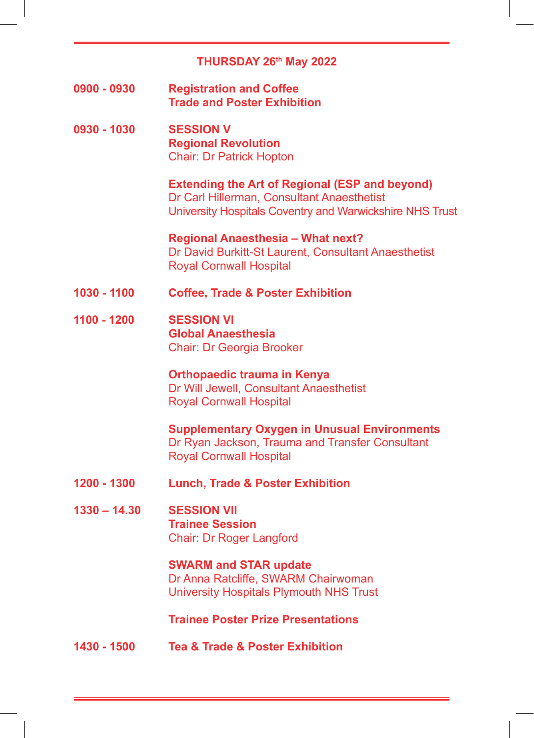## **THURSDAY 26th May 2022**

**0900 - 0930 Registration and Coffee Trade and Poster Exhibition**

**0930 - 1030 SESSION V Regional Revolution** Chair: Dr Patrick Hopton

> **Extending the Art of Regional (ESP and beyond)** Dr Carl Hillerman, Consultant Anaesthetist University Hospitals Coventry and Warwickshire NHS Trust

**Regional Anaesthesia – What next?** Dr David Burkitt-St Laurent, Consultant Anaesthetist Royal Cornwall Hospital

- **1030 1100 Coffee, Trade & Poster Exhibition**
- **1100 1200 SESSION VI Global Anaesthesia** Chair: Dr Georgia Brooker

**Orthopaedic trauma in Kenya** Dr Will Jewell, Consultant Anaesthetist Royal Cornwall Hospital

**Supplementary Oxygen in Unusual Environments** Dr Ryan Jackson, Trauma and Transfer Consultant Royal Cornwall Hospital

- **1200 1300 Lunch, Trade & Poster Exhibition**
- **1330 14.30 SESSION VII Trainee Session** Chair: Dr Roger Langford

**SWARM and STAR update** Dr Anna Ratcliffe, SWARM Chairwoman University Hospitals Plymouth NHS Trust

**Trainee Poster Prize Presentations**

**1430 - 1500 Tea & Trade & Poster Exhibition**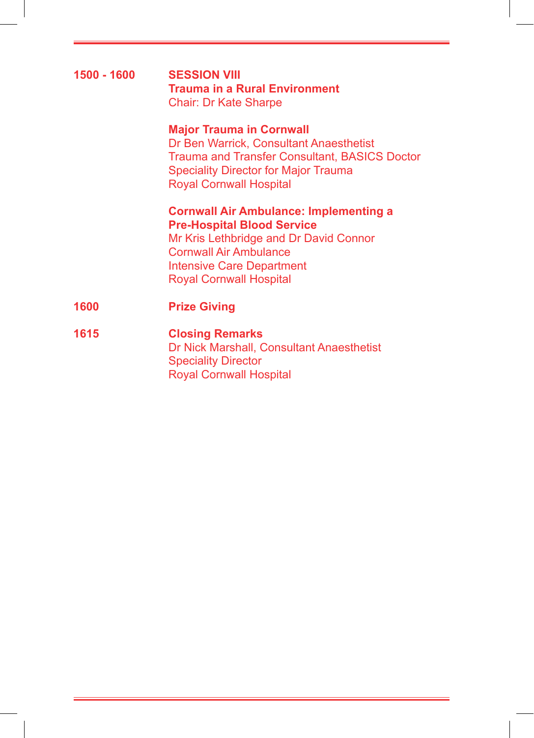## **1500 - 1600 SESSION VIII Trauma in a Rural Environment** Chair: Dr Kate Sharpe

### **Major Trauma in Cornwall**

Dr Ben Warrick, Consultant Anaesthetist Trauma and Transfer Consultant, BASICS Doctor Speciality Director for Major Trauma Royal Cornwall Hospital

#### **Cornwall Air Ambulance: Implementing a Pre-Hospital Blood Service**

Mr Kris Lethbridge and Dr David Connor Cornwall Air Ambulance Intensive Care Department Royal Cornwall Hospital

- **1600 Prize Giving**
- **1615 Closing Remarks** Dr Nick Marshall, Consultant Anaesthetist Speciality Director Royal Cornwall Hospital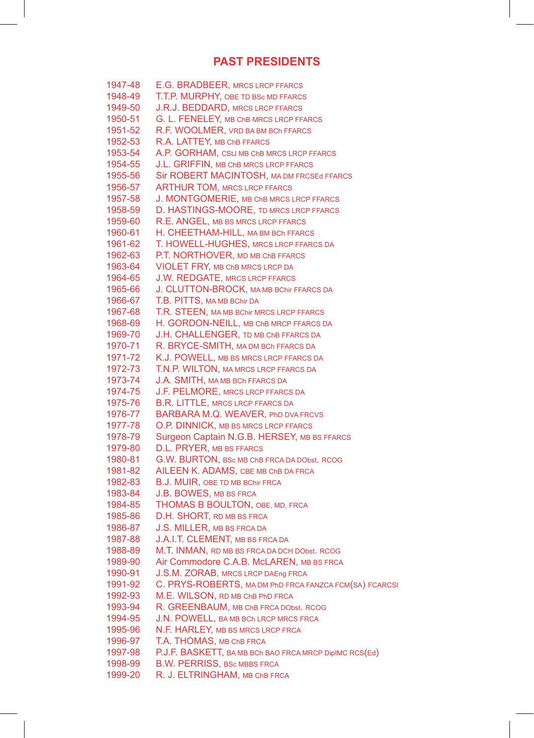## **PAST PRESIDENTS**

| 1947-48 | E.G. BRADBEER, MRCS LRCP FFARCS                        |
|---------|--------------------------------------------------------|
| 1948-49 | T.T.P. MURPHY, OBE TD BSc MD FFARCS                    |
| 1949-50 | <b>J.R.J. BEDDARD, MRCS LRCP FFARCS</b>                |
| 1950-51 | G. L. FENELEY, MB ChB MRCS LRCP FFARCS                 |
| 1951-52 | R.F. WOOLMER, VRD BA BM BCh FFARCS                     |
| 1952-53 | R.A. LATTEY, MB ChB FFARCS                             |
| 1953-54 | A.P. GORHAM, CStJ MB ChB MRCS LRCP FFARCS              |
| 1954-55 | J.L. GRIFFIN, MB ChB MRCS LRCP FFARCS                  |
| 1955-56 | Sir ROBERT MACINTOSH, MA DM FRCSEd FFARCS              |
| 1956-57 | <b>ARTHUR TOM, MRCS LRCP FFARCS</b>                    |
| 1957-58 | J. MONTGOMERIE, MB ChB MRCS LRCP FFARCS                |
| 1958-59 | D. HASTINGS-MOORE, TD MRCS LRCP FFARCS                 |
| 1959-60 | R.E. ANGEL, MB BS MRCS LRCP FFARCS                     |
| 1960-61 | H. CHEETHAM-HILL, MA BM BCh FFARCS                     |
| 1961-62 | T. HOWELL-HUGHES, MRCS LRCP FFARCS DA                  |
| 1962-63 | P.T. NORTHOVER, MD MB ChB FFARCS                       |
| 1963-64 | <b>VIOLET FRY, MB ChB MRCS LRCP DA</b>                 |
| 1964-65 | <b>J.W. REDGATE, MRCS LRCP FFARCS</b>                  |
| 1965-66 | J. CLUTTON-BROCK, MA MB BChir FFARCS DA                |
| 1966-67 | T.B. PITTS, MA MB BChir DA                             |
| 1967-68 | T.R. STEEN, MA MB BChir MRCS LRCP FFARCS               |
| 1968-69 | H. GORDON-NEILL, MB ChB MRCP FFARCS DA                 |
| 1969-70 | J.H. CHALLENGER, TD MB ChB FFARCS DA                   |
| 1970-71 | R. BRYCE-SMITH, MA DM BCh FFARCS DA                    |
| 1971-72 | K.J. POWELL, MB BS MRCS LRCP FFARCS DA                 |
| 1972-73 | T.N.P. WILTON, MA MRCS LRCP FFARCS DA                  |
| 1973-74 | J.A. SMITH, MA MB BCh FFARCS DA                        |
| 1974-75 | <b>J.F. PELMORE, MRCS LRCP FFARCS DA</b>               |
| 1975-76 | <b>B.R. LITTLE, MRCS LRCP FFARCS DA</b>                |
| 1976-77 | BARBARA M.Q. WEAVER, PhD DVA FRCVS                     |
| 1977-78 | O.P. DINNICK, MB BS MRCS LRCP FFARCS                   |
| 1978-79 | Surgeon Captain N.G.B. HERSEY, MB BS FFARCS            |
| 1979-80 | D.L. PRYER, MB BS FFARCS                               |
| 1980-81 | G.W. BURTON, BSc MB ChB FRCA DA DObst. RCOG            |
| 1981-82 | AILEEN K. ADAMS, CBE MB ChB DA FRCA                    |
| 1982-83 | B.J. MUIR, OBE TD MB BChir FRCA                        |
| 1983-84 | J.B. BOWES, MB BS FRCA                                 |
| 1984-85 | <b>THOMAS B BOULTON, OBE, MD, FRCA</b>                 |
| 1985-86 | D.H. SHORT, RD MB BS FRCA                              |
| 1986-87 | J.S. MILLER, MB BS FRCA DA                             |
| 1987-88 | <b>J.A.I.T. CLEMENT, MB BS FRCA DA</b>                 |
| 1988-89 | M.T. INMAN, RD MB BS FRCA DA DCH DObst. RCOG           |
| 1989-90 | Air Commodore C.A.B. McLAREN, MB BS FRCA               |
| 1990-91 | J.S.M. ZORAB, MRCS LRCP DAEng FRCA                     |
| 1991-92 | C. PRYS-ROBERTS, MA DM PhD FRCA FANZCA FCM(SA) FCARCSI |
| 1992-93 | M.E. WILSON, RD MB ChB PhD FRCA                        |
| 1993-94 | R. GREENBAUM, MB ChB FRCA DObst. RCOG                  |
| 1994-95 | J.N. POWELL, BAMB BCh LRCP MRCS FRCA                   |
| 1995-96 | N.F. HARLEY, MB BS MRCS LRCP FRCA                      |
| 1996-97 | T.A. THOMAS, MB ChB FRCA                               |
| 1997-98 | P.J.F. BASKETT, BAMB BCh BAO FRCA MRCP DipIMC RCS(Ed)  |
| 1998-99 | <b>B.W. PERRISS, BSc MBBS FRCA</b>                     |
| 1999-20 | R. J. ELTRINGHAM, MB ChB FRCA                          |